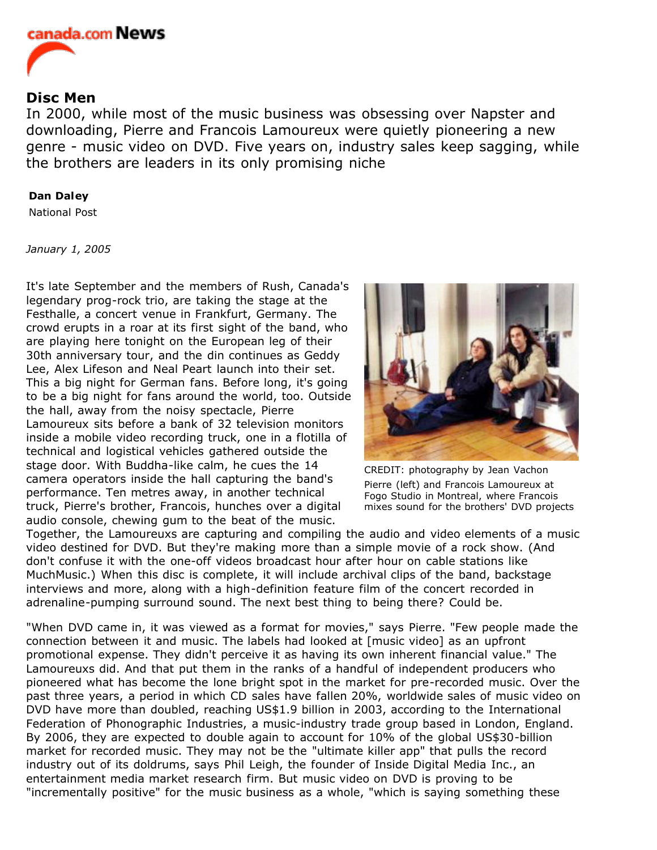

## **Disc Men**

In 2000, while most of the music business was obsessing over Napster and downloading, Pierre and Francois Lamoureux were quietly pioneering a new genre - music video on DVD. Five years on, industry sales keep sagging, while the brothers are leaders in its only promising niche

## **Dan Daley**

National Post

*January 1, 2005*

It's late September and the members of Rush, Canada's legendary prog-rock trio, are taking the stage at the Festhalle, a concert venue in Frankfurt, Germany. The crowd erupts in a roar at its first sight of the band, who are playing here tonight on the European leg of their 30th anniversary tour, and the din continues as Geddy Lee, Alex Lifeson and Neal Peart launch into their set. This a big night for German fans. Before long, it's going to be a big night for fans around the world, too. Outside the hall, away from the noisy spectacle, Pierre Lamoureux sits before a bank of 32 television monitors inside a mobile video recording truck, one in a flotilla of technical and logistical vehicles gathered outside the stage door. With Buddha-like calm, he cues the 14 camera operators inside the hall capturing the band's performance. Ten metres away, in another technical truck, Pierre's brother, Francois, hunches over a digital audio console, chewing gum to the beat of the music.



CREDIT: photography by Jean Vachon Pierre (left) and Francois Lamoureux at Fogo Studio in Montreal, where Francois mixes sound for the brothers' DVD projects

Together, the Lamoureuxs are capturing and compiling the audio and video elements of a music video destined for DVD. But they're making more than a simple movie of a rock show. (And don't confuse it with the one-off videos broadcast hour after hour on cable stations like MuchMusic.) When this disc is complete, it will include archival clips of the band, backstage interviews and more, along with a high-definition feature film of the concert recorded in adrenaline-pumping surround sound. The next best thing to being there? Could be.

"When DVD came in, it was viewed as a format for movies," says Pierre. "Few people made the connection between it and music. The labels had looked at [music video] as an upfront promotional expense. They didn't perceive it as having its own inherent financial value." The Lamoureuxs did. And that put them in the ranks of a handful of independent producers who pioneered what has become the lone bright spot in the market for pre-recorded music. Over the past three years, a period in which CD sales have fallen 20%, worldwide sales of music video on DVD have more than doubled, reaching US\$1.9 billion in 2003, according to the International Federation of Phonographic Industries, a music-industry trade group based in London, England. By 2006, they are expected to double again to account for 10% of the global US\$30-billion market for recorded music. They may not be the "ultimate killer app" that pulls the record industry out of its doldrums, says Phil Leigh, the founder of Inside Digital Media Inc., an entertainment media market research firm. But music video on DVD is proving to be "incrementally positive" for the music business as a whole, "which is saying something these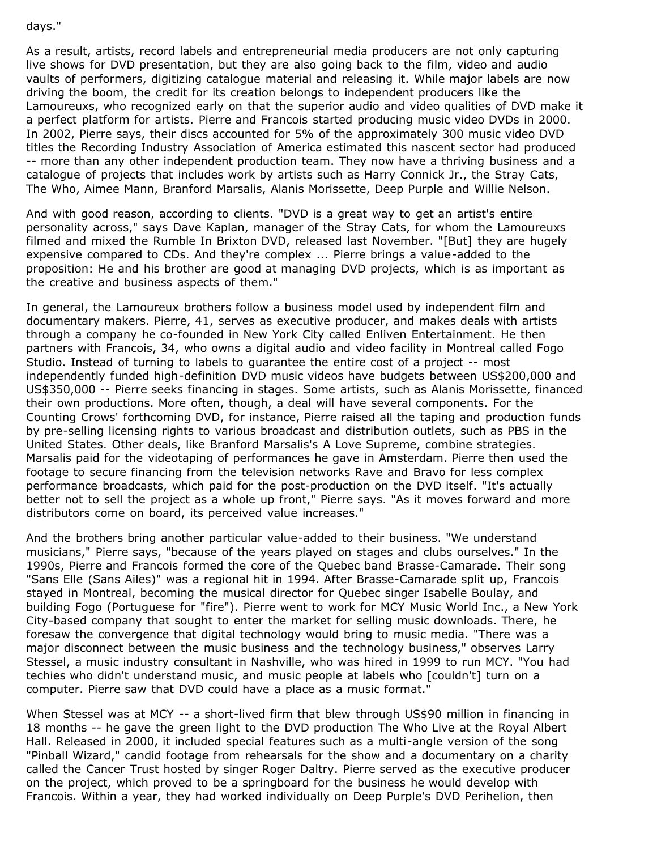## days."

As a result, artists, record labels and entrepreneurial media producers are not only capturing live shows for DVD presentation, but they are also going back to the film, video and audio vaults of performers, digitizing catalogue material and releasing it. While major labels are now driving the boom, the credit for its creation belongs to independent producers like the Lamoureuxs, who recognized early on that the superior audio and video qualities of DVD make it a perfect platform for artists. Pierre and Francois started producing music video DVDs in 2000. In 2002, Pierre says, their discs accounted for 5% of the approximately 300 music video DVD titles the Recording Industry Association of America estimated this nascent sector had produced -- more than any other independent production team. They now have a thriving business and a catalogue of projects that includes work by artists such as Harry Connick Jr., the Stray Cats, The Who, Aimee Mann, Branford Marsalis, Alanis Morissette, Deep Purple and Willie Nelson.

And with good reason, according to clients. "DVD is a great way to get an artist's entire personality across," says Dave Kaplan, manager of the Stray Cats, for whom the Lamoureuxs filmed and mixed the Rumble In Brixton DVD, released last November. "[But] they are hugely expensive compared to CDs. And they're complex ... Pierre brings a value-added to the proposition: He and his brother are good at managing DVD projects, which is as important as the creative and business aspects of them."

In general, the Lamoureux brothers follow a business model used by independent film and documentary makers. Pierre, 41, serves as executive producer, and makes deals with artists through a company he co-founded in New York City called Enliven Entertainment. He then partners with Francois, 34, who owns a digital audio and video facility in Montreal called Fogo Studio. Instead of turning to labels to guarantee the entire cost of a project -- most independently funded high-definition DVD music videos have budgets between US\$200,000 and US\$350,000 -- Pierre seeks financing in stages. Some artists, such as Alanis Morissette, financed their own productions. More often, though, a deal will have several components. For the Counting Crows' forthcoming DVD, for instance, Pierre raised all the taping and production funds by pre-selling licensing rights to various broadcast and distribution outlets, such as PBS in the United States. Other deals, like Branford Marsalis's A Love Supreme, combine strategies. Marsalis paid for the videotaping of performances he gave in Amsterdam. Pierre then used the footage to secure financing from the television networks Rave and Bravo for less complex performance broadcasts, which paid for the post-production on the DVD itself. "It's actually better not to sell the project as a whole up front," Pierre says. "As it moves forward and more distributors come on board, its perceived value increases."

And the brothers bring another particular value-added to their business. "We understand musicians," Pierre says, "because of the years played on stages and clubs ourselves." In the 1990s, Pierre and Francois formed the core of the Quebec band Brasse-Camarade. Their song "Sans Elle (Sans Ailes)" was a regional hit in 1994. After Brasse-Camarade split up, Francois stayed in Montreal, becoming the musical director for Quebec singer Isabelle Boulay, and building Fogo (Portuguese for "fire"). Pierre went to work for MCY Music World Inc., a New York City-based company that sought to enter the market for selling music downloads. There, he foresaw the convergence that digital technology would bring to music media. "There was a major disconnect between the music business and the technology business," observes Larry Stessel, a music industry consultant in Nashville, who was hired in 1999 to run MCY. "You had techies who didn't understand music, and music people at labels who [couldn't] turn on a computer. Pierre saw that DVD could have a place as a music format."

When Stessel was at MCY -- a short-lived firm that blew through US\$90 million in financing in 18 months -- he gave the green light to the DVD production The Who Live at the Royal Albert Hall. Released in 2000, it included special features such as a multi-angle version of the song "Pinball Wizard," candid footage from rehearsals for the show and a documentary on a charity called the Cancer Trust hosted by singer Roger Daltry. Pierre served as the executive producer on the project, which proved to be a springboard for the business he would develop with Francois. Within a year, they had worked individually on Deep Purple's DVD Perihelion, then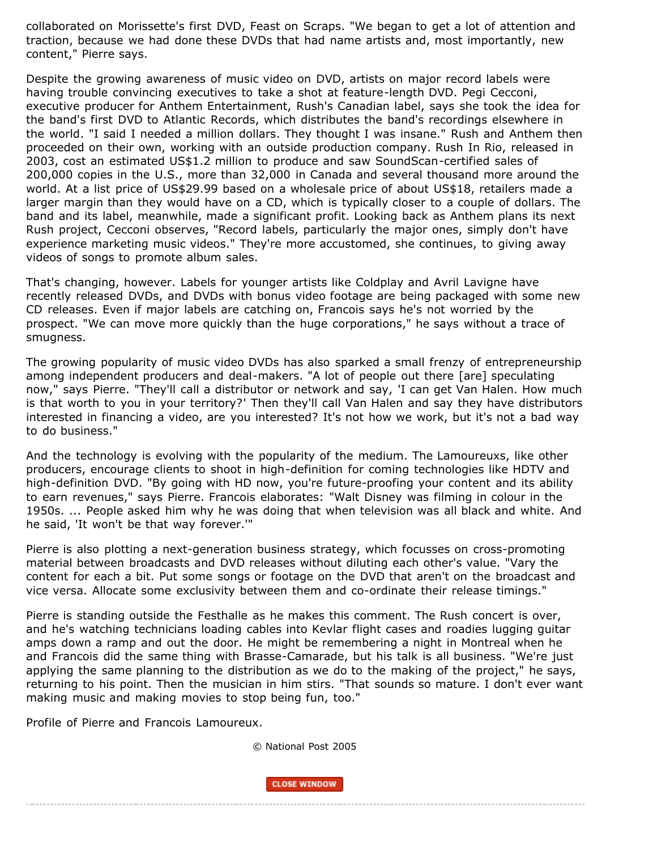collaborated on Morissette's first DVD, Feast on Scraps. "We began to get a lot of attention and traction, because we had done these DVDs that had name artists and, most importantly, new content," Pierre says.

Despite the growing awareness of music video on DVD, artists on major record labels were having trouble convincing executives to take a shot at feature-length DVD. Pegi Cecconi, executive producer for Anthem Entertainment, Rush's Canadian label, says she took the idea for the band's first DVD to Atlantic Records, which distributes the band's recordings elsewhere in the world. "I said I needed a million dollars. They thought I was insane." Rush and Anthem then proceeded on their own, working with an outside production company. Rush In Rio, released in 2003, cost an estimated US\$1.2 million to produce and saw SoundScan-certified sales of 200,000 copies in the U.S., more than 32,000 in Canada and several thousand more around the world. At a list price of US\$29.99 based on a wholesale price of about US\$18, retailers made a larger margin than they would have on a CD, which is typically closer to a couple of dollars. The band and its label, meanwhile, made a significant profit. Looking back as Anthem plans its next Rush project, Cecconi observes, "Record labels, particularly the major ones, simply don't have experience marketing music videos." They're more accustomed, she continues, to giving away videos of songs to promote album sales.

That's changing, however. Labels for younger artists like Coldplay and Avril Lavigne have recently released DVDs, and DVDs with bonus video footage are being packaged with some new CD releases. Even if major labels are catching on, Francois says he's not worried by the prospect. "We can move more quickly than the huge corporations," he says without a trace of smugness.

The growing popularity of music video DVDs has also sparked a small frenzy of entrepreneurship among independent producers and deal-makers. "A lot of people out there [are] speculating now," says Pierre. "They'll call a distributor or network and say, 'I can get Van Halen. How much is that worth to you in your territory?' Then they'll call Van Halen and say they have distributors interested in financing a video, are you interested? It's not how we work, but it's not a bad way to do business."

And the technology is evolving with the popularity of the medium. The Lamoureuxs, like other producers, encourage clients to shoot in high-definition for coming technologies like HDTV and high-definition DVD. "By going with HD now, you're future-proofing your content and its ability to earn revenues," says Pierre. Francois elaborates: "Walt Disney was filming in colour in the 1950s. ... People asked him why he was doing that when television was all black and white. And he said, 'It won't be that way forever.'"

Pierre is also plotting a next-generation business strategy, which focusses on cross-promoting material between broadcasts and DVD releases without diluting each other's value. "Vary the content for each a bit. Put some songs or footage on the DVD that aren't on the broadcast and vice versa. Allocate some exclusivity between them and co-ordinate their release timings."

Pierre is standing outside the Festhalle as he makes this comment. The Rush concert is over, and he's watching technicians loading cables into Kevlar flight cases and roadies lugging guitar amps down a ramp and out the door. He might be remembering a night in Montreal when he and Francois did the same thing with Brasse-Camarade, but his talk is all business. "We're just applying the same planning to the distribution as we do to the making of the project," he says, returning to his point. Then the musician in him stirs. "That sounds so mature. I don't ever want making music and making movies to stop being fun, too."

Profile of Pierre and Francois Lamoureux.

© National Post 2005

**CLOSE WINDOW**